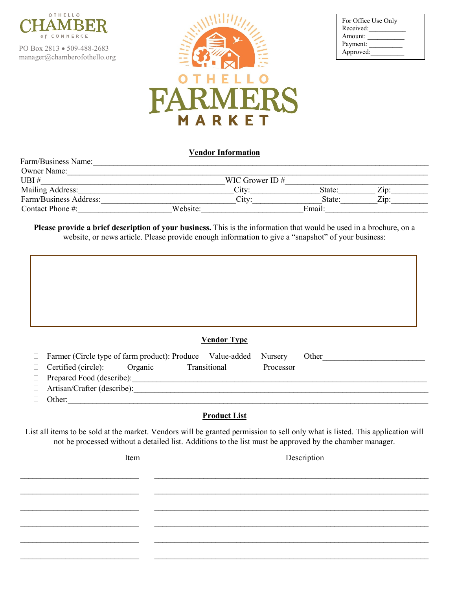

PO Box 2813 • 509-488-2683 manager@chamberofothello.org

Farm/Business Name:



| For Office Use Only<br>Received: |  |
|----------------------------------|--|
| Amount:                          |  |
| Payment:                         |  |
| Approved:                        |  |

### **Vendor Information**

| <b>Owner Name:</b>     |          |                   |        |                    |
|------------------------|----------|-------------------|--------|--------------------|
| UBI#                   |          | WIC Grower ID $#$ |        |                    |
| Mailing Address:       |          | Citv:             | State: | $\overline{Lip}$ : |
| Farm/Business Address: |          | Citv:             | State: | $\overline{Z}$ ip: |
| Contact Phone $\#$ :   | Website: |                   | Email: |                    |

**Please provide a brief description of your business.** This is the information that would be used in a brochure, on a website, or news article. Please provide enough information to give a "snapshot" of your business:

## **Vendor Type**

| $\Box$ Farmer (Circle type of farm product): Produce Value-added Nursery Other |  |              |           |  |
|--------------------------------------------------------------------------------|--|--------------|-----------|--|
| $\Box$ Certified (circle): Organic                                             |  | Transitional | Processor |  |
| $\Box$ Prepared Food (describe):                                               |  |              |           |  |

- $\Box$  Artisan/Crafter (describe):
- $\Box$  Other:

# **Product List**

List all items to be sold at the market. Vendors will be granted permission to sell only what is listed. This application will not be processed without a detailed list. Additions to the list must be approved by the chamber manager.

 $\_$ 

 $\_$ 

 $\_$  , and the contribution of the contribution of the contribution of the contribution of the contribution of  $\mathcal{L}_\text{max}$ 

\_\_\_\_\_\_\_\_\_\_\_\_\_\_\_\_\_\_\_\_\_\_\_\_\_\_\_\_\_ \_\_\_\_\_\_\_\_\_\_\_\_\_\_\_\_\_\_\_\_\_\_\_\_\_\_\_\_\_\_\_\_\_\_\_\_\_\_\_\_\_\_\_\_\_\_\_\_\_\_\_\_\_\_\_\_\_\_\_\_\_\_\_\_\_\_\_

\_\_\_\_\_\_\_\_\_\_\_\_\_\_\_\_\_\_\_\_\_\_\_\_\_\_\_\_\_ \_\_\_\_\_\_\_\_\_\_\_\_\_\_\_\_\_\_\_\_\_\_\_\_\_\_\_\_\_\_\_\_\_\_\_\_\_\_\_\_\_\_\_\_\_\_\_\_\_\_\_\_\_\_\_\_\_\_\_\_\_\_\_\_\_\_\_

 $\_$  , and the contribution of the contribution of the contribution of the contribution of  $\mathcal{L}_\text{max}$ 

Item Description